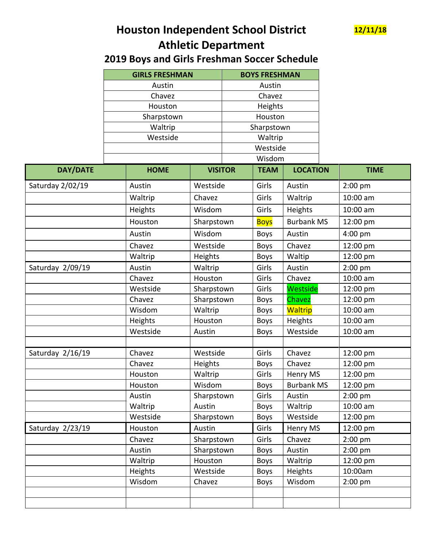

## **Houston Independent School District 12/11/18 Athletic Department**

## **2019 Boys and Girls Freshman Soccer Schedule**

|                  | <b>GIRLS FRESHMAN</b><br>Austin<br>Chavez<br>Houston<br>Sharpstown<br>Waltrip |                | <b>BOYS FRESHMAN</b><br>Austin             |             |                   |  |             |  |
|------------------|-------------------------------------------------------------------------------|----------------|--------------------------------------------|-------------|-------------------|--|-------------|--|
|                  |                                                                               |                |                                            |             |                   |  |             |  |
|                  |                                                                               |                | Chavez<br>Heights<br>Houston<br>Sharpstown |             |                   |  |             |  |
|                  |                                                                               |                |                                            |             |                   |  |             |  |
|                  |                                                                               |                |                                            |             |                   |  |             |  |
|                  |                                                                               |                |                                            |             |                   |  |             |  |
|                  | Westside                                                                      |                |                                            | Waltrip     |                   |  |             |  |
|                  |                                                                               |                |                                            | Westside    |                   |  |             |  |
|                  |                                                                               |                | Wisdom                                     |             |                   |  |             |  |
| <b>DAY/DATE</b>  | <b>HOME</b>                                                                   | <b>VISITOR</b> |                                            | <b>TEAM</b> | <b>LOCATION</b>   |  | <b>TIME</b> |  |
| Saturday 2/02/19 | Austin                                                                        | Westside       |                                            | Girls       | Austin            |  | $2:00$ pm   |  |
|                  | Waltrip                                                                       | Chavez         |                                            | Girls       | Waltrip           |  | 10:00 am    |  |
|                  | Heights                                                                       | Wisdom         |                                            | Girls       | Heights           |  | 10:00 am    |  |
|                  | Houston                                                                       | Sharpstown     |                                            | <b>Boys</b> | <b>Burbank MS</b> |  | 12:00 pm    |  |
|                  | Austin                                                                        | Wisdom         |                                            | <b>Boys</b> | Austin            |  | $4:00$ pm   |  |
|                  | Chavez                                                                        | Westside       |                                            | <b>Boys</b> | Chavez            |  | 12:00 pm    |  |
|                  | Waltrip                                                                       | Heights        |                                            | <b>Boys</b> | Waltip            |  | 12:00 pm    |  |
| Saturday 2/09/19 | Austin                                                                        | Waltrip        |                                            | Girls       | Austin            |  | $2:00$ pm   |  |
|                  | Chavez                                                                        | Houston        |                                            | Girls       | Chavez            |  | 10:00 am    |  |
|                  | Westside                                                                      | Sharpstown     |                                            | Girls       | Westside          |  | 12:00 pm    |  |
|                  | Chavez                                                                        | Sharpstown     |                                            | <b>Boys</b> | Chavez            |  | 12:00 pm    |  |
|                  | Wisdom                                                                        | Waltrip        |                                            | <b>Boys</b> | Waltrip           |  | 10:00 am    |  |
|                  | Heights                                                                       | Houston        |                                            | <b>Boys</b> | Heights           |  | 10:00 am    |  |
|                  | Westside                                                                      | Austin         |                                            | <b>Boys</b> | Westside          |  | 10:00 am    |  |
|                  |                                                                               |                |                                            |             |                   |  |             |  |
| Saturday 2/16/19 | Chavez                                                                        | Westside       |                                            | Girls       | Chavez            |  | 12:00 pm    |  |
|                  | Chavez                                                                        | Heights        |                                            | <b>Boys</b> | Chavez            |  | 12:00 pm    |  |
|                  | Houston                                                                       | Waltrip        |                                            | Girls       | Henry MS          |  | 12:00 pm    |  |
|                  | Houston                                                                       | Wisdom         |                                            | <b>Boys</b> | <b>Burbank MS</b> |  | 12:00 pm    |  |
|                  | Austin                                                                        | Sharpstown     |                                            | Girls       | Austin            |  | $2:00$ pm   |  |
|                  | Waltrip                                                                       | Austin         |                                            | <b>Boys</b> | Waltrip           |  | 10:00 am    |  |
|                  | Westside                                                                      | Sharpstown     |                                            | <b>Boys</b> | Westside          |  | 12:00 pm    |  |
| Saturday 2/23/19 | Houston                                                                       | Austin         |                                            | Girls       | Henry MS          |  | 12:00 pm    |  |
|                  | Chavez                                                                        | Sharpstown     |                                            | Girls       | Chavez            |  | $2:00$ pm   |  |
|                  | Austin                                                                        | Sharpstown     |                                            | <b>Boys</b> | Austin            |  | $2:00$ pm   |  |
|                  | Waltrip                                                                       | Houston        |                                            | <b>Boys</b> | Waltrip           |  | 12:00 pm    |  |
|                  | Heights                                                                       | Westside       |                                            | <b>Boys</b> | Heights           |  | 10:00am     |  |
|                  | Wisdom                                                                        | Chavez         |                                            | <b>Boys</b> | Wisdom            |  | $2:00$ pm   |  |
|                  |                                                                               |                |                                            |             |                   |  |             |  |
|                  |                                                                               |                |                                            |             |                   |  |             |  |